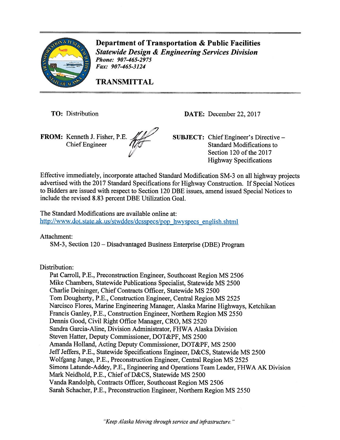

Department of Transportation & Public facilities Statewide Design & Engineering Services Division Phone: 907-465-2975 Fax: 907-465-3124

TRANSMITTAL

FROM: Kenneth J. Fisher, P.E. **SUBJECT**: Chief Engineer's Directive –

TO: Distribution DATE: December 22, 2017

Chief Engineer 1/17 Standard Modifications to Section 120 of the 2017 Highway Specifications

Effective immediately, incorporate attached Standard Modification SM-3 on all highway projects advertised with the <sup>2017</sup> Standard Specifications for Highway Construction. If Special Notices to Bidders are issued with respec<sup>t</sup> to Section <sup>120</sup> DBE issues, amend issued Special Notices to include the revised 8.83 percen<sup>t</sup> DBE Utilization Goal.

The Standard Modifications are available online at: http://www.dot.state.ak.us/stwddes/dcsspecs/pop\_hwyspecs\_english.shtml

Attachment:

SM-3, Section 120 — Disadvantaged Business Enterprise (DBE) Program

Distribution:

Pat Carroll, P.E., Preconstruction Engineer, Southcoast Region MS 2506 Mike Chambers, Statewide Publications Specialist, Statewide MS 2500 Charlie Deininger, Chief Contracts Officer, Statewide MS 2500 Tom Dougherty, P.E., Construction Engineer, Central Region MS 2525 Narcisco Flores, Marine Engineering Manager, Alaska Marine Highways, Ketchikan Francis Ganley, P.E., Construction Engineer, Northern Region MS 2550 Dennis Good, Civil Right Office Manager, CR0, MS 2520 Sandra Garcia-Aline, Division Administrator, FHWA Alaska Division Steven Hatter, Deputy Commissioner, DOT&PF, MS 2500 Amanda Holland, Acting Deputy Commissioner, DOT&PF, MS 2500 Jeff Jeffers, P.E., Statewide Specifications Engineer, D&CS, Statewide MS 2500 Wolfgang Junge, P.E., Preconstruction Engineer, Central Region MS 2525 Simons Latunde-Addey, P.E., Engineering and Operations Team Leader, FHWA AK Division Mark Neidhold, P.E., Chief of D&CS, Statewide MS 2500 Vanda Randolph, Contracts Officer, Southcoast Region MS 2506 Sarah Schacher, P.E., Preconstruction Engineer, Northern Region MS 2550